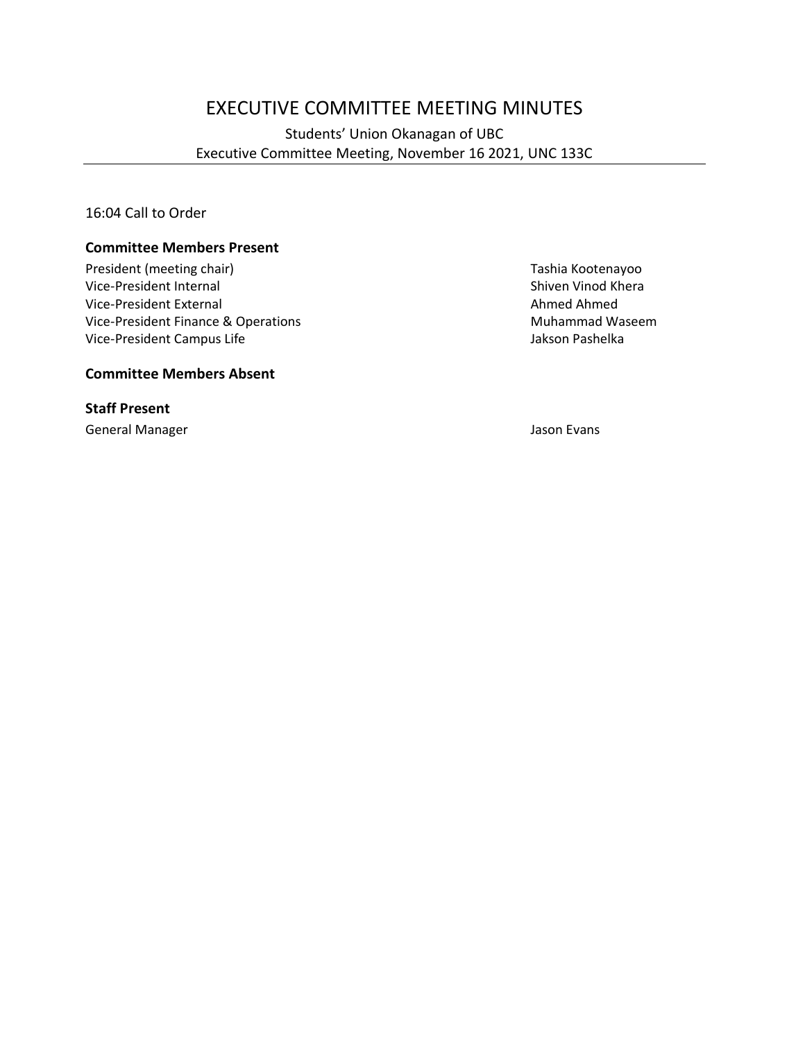# EXECUTIVE COMMITTEE MEETING MINUTES

Students' Union Okanagan of UBC Executive Committee Meeting, November 16 2021, UNC 133C

16:04 Call to Order

#### **Committee Members Present**

President (meeting chair) Tashia Kootenayoo Vice-President Internal and Shiven Vinod Khera<br>
Vice-President External and Shiven Vinod Khera<br>
Shiven Vinod Khera Vice-President External Vice-President Finance & Operations Muhammad Waseem Vice-President Campus Life **Jakson Pashelka** Jakson Pashelka

#### **Committee Members Absent**

**Staff Present**

General Manager Jason Evans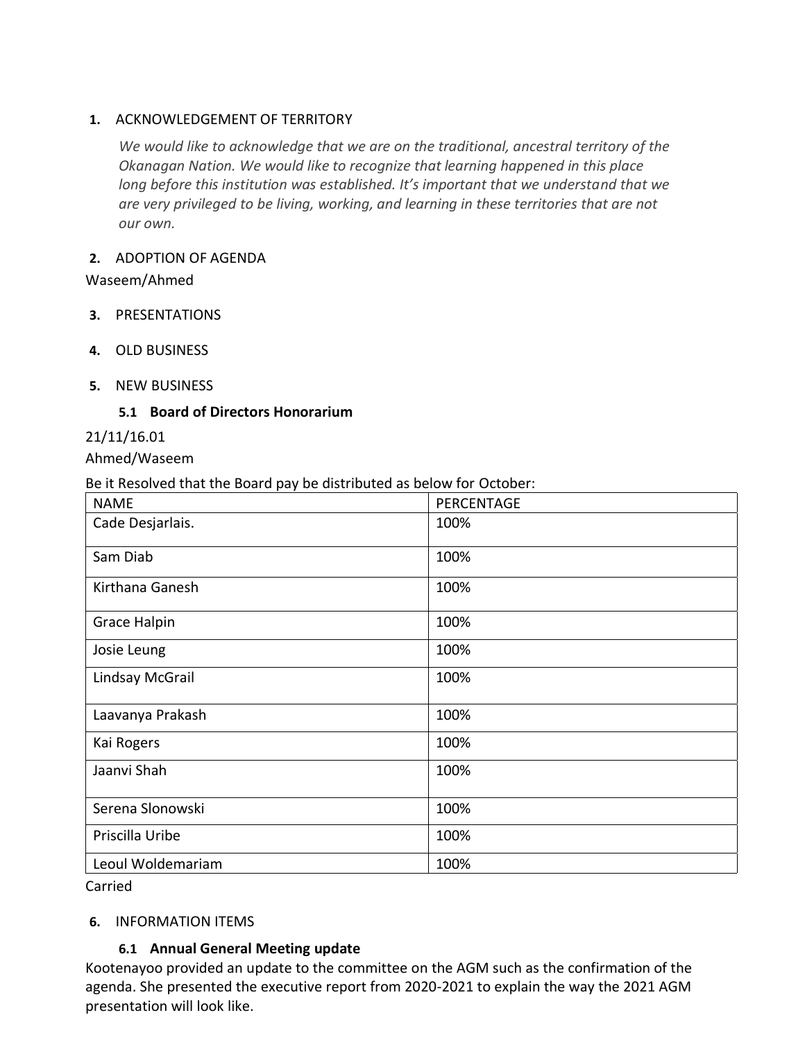## **1.** ACKNOWLEDGEMENT OF TERRITORY

*We would like to acknowledge that we are on the traditional, ancestral territory of the Okanagan Nation. We would like to recognize that learning happened in this place long before this institution was established. It's important that we understand that we are very privileged to be living, working, and learning in these territories that are not our own.*

#### **2.** ADOPTION OF AGENDA

Waseem/Ahmed

- **3.** PRESENTATIONS
- **4.** OLD BUSINESS
- **5.** NEW BUSINESS

#### **5.1 Board of Directors Honorarium**

21/11/16.01

Ahmed/Waseem

Be it Resolved that the Board pay be distributed as below for October:

| <b>NAME</b>         | PERCENTAGE |
|---------------------|------------|
| Cade Desjarlais.    | 100%       |
| Sam Diab            | 100%       |
| Kirthana Ganesh     | 100%       |
| <b>Grace Halpin</b> | 100%       |
| Josie Leung         | 100%       |
| Lindsay McGrail     | 100%       |
| Laavanya Prakash    | 100%       |
| Kai Rogers          | 100%       |
| Jaanvi Shah         | 100%       |
| Serena Slonowski    | 100%       |
| Priscilla Uribe     | 100%       |
| Leoul Woldemariam   | 100%       |

Carried

#### **6.** INFORMATION ITEMS

## **6.1 Annual General Meeting update**

Kootenayoo provided an update to the committee on the AGM such as the confirmation of the agenda. She presented the executive report from 2020-2021 to explain the way the 2021 AGM presentation will look like.